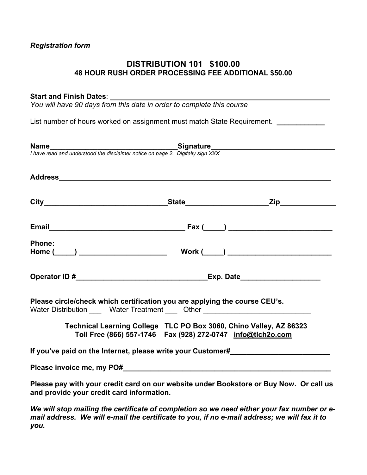# *Registration form*

# **DISTRIBUTION 101 \$100.00 48 HOUR RUSH ORDER PROCESSING FEE ADDITIONAL \$50.00**

## Start and Finish Dates:

*You will have 90 days from this date in order to complete this course* 

List number of hours worked on assignment must match State Requirement. *\_\_\_\_\_\_\_\_\_\_\_* 

|                                                                                                                                                                | <b>Name</b><br>I have read and understood the disclaimer notice on page 2. Digitally sign XXX                                           |
|----------------------------------------------------------------------------------------------------------------------------------------------------------------|-----------------------------------------------------------------------------------------------------------------------------------------|
|                                                                                                                                                                |                                                                                                                                         |
|                                                                                                                                                                |                                                                                                                                         |
|                                                                                                                                                                |                                                                                                                                         |
| <b>Phone:</b>                                                                                                                                                  |                                                                                                                                         |
|                                                                                                                                                                |                                                                                                                                         |
| Please circle/check which certification you are applying the course CEU's.<br>Water Distribution _____ Water Treatment ____ Other ____________________________ |                                                                                                                                         |
|                                                                                                                                                                | Technical Learning College TLC PO Box 3060, Chino Valley, AZ 86323<br>Toll Free (866) 557-1746    Fax (928) 272-0747    info@tlch2o.com |
|                                                                                                                                                                | If you've paid on the Internet, please write your Customer#                                                                             |
|                                                                                                                                                                |                                                                                                                                         |
| and provide your credit card information.                                                                                                                      | Please pay with your credit card on our website under Bookstore or Buy Now. Or call us                                                  |
| المتواط والمستحدث المتحدث والمتحدث المستقر المستعدد المتحدث والمتحدث والمتحدث والمتحدث والمتحدث                                                                |                                                                                                                                         |

*We will stop mailing the certificate of completion so we need either your fax number or email address. We will e-mail the certificate to you, if no e-mail address; we will fax it to you.*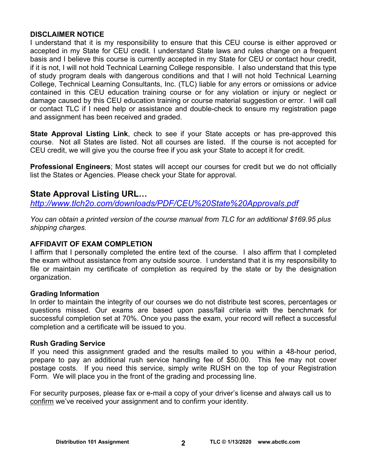# **DISCLAIMER NOTICE**

I understand that it is my responsibility to ensure that this CEU course is either approved or accepted in my State for CEU credit. I understand State laws and rules change on a frequent basis and I believe this course is currently accepted in my State for CEU or contact hour credit, if it is not, I will not hold Technical Learning College responsible. I also understand that this type of study program deals with dangerous conditions and that I will not hold Technical Learning College, Technical Learning Consultants, Inc. (TLC) liable for any errors or omissions or advice contained in this CEU education training course or for any violation or injury or neglect or damage caused by this CEU education training or course material suggestion or error. I will call or contact TLC if I need help or assistance and double-check to ensure my registration page and assignment has been received and graded.

**State Approval Listing Link**, check to see if your State accepts or has pre-approved this course. Not all States are listed. Not all courses are listed. If the course is not accepted for CEU credit, we will give you the course free if you ask your State to accept it for credit.

**Professional Engineers**; Most states will accept our courses for credit but we do not officially list the States or Agencies. Please check your State for approval.

# **State Approval Listing URL…**

*<http://www.tlch2o.com/downloads/PDF/CEU%20State%20Approvals.pdf>*

*You can obtain a printed version of the course manual from TLC for an additional \$169.95 plus shipping charges.* 

# **AFFIDAVIT OF EXAM COMPLETION**

I affirm that I personally completed the entire text of the course. I also affirm that I completed the exam without assistance from any outside source. I understand that it is my responsibility to file or maintain my certificate of completion as required by the state or by the designation organization.

# **Grading Information**

In order to maintain the integrity of our courses we do not distribute test scores, percentages or questions missed. Our exams are based upon pass/fail criteria with the benchmark for successful completion set at 70%. Once you pass the exam, your record will reflect a successful completion and a certificate will be issued to you.

# **Rush Grading Service**

If you need this assignment graded and the results mailed to you within a 48-hour period, prepare to pay an additional rush service handling fee of \$50.00. This fee may not cover postage costs. If you need this service, simply write RUSH on the top of your Registration Form. We will place you in the front of the grading and processing line.

For security purposes, please fax or e-mail a copy of your driver's license and always call us to confirm we've received your assignment and to confirm your identity.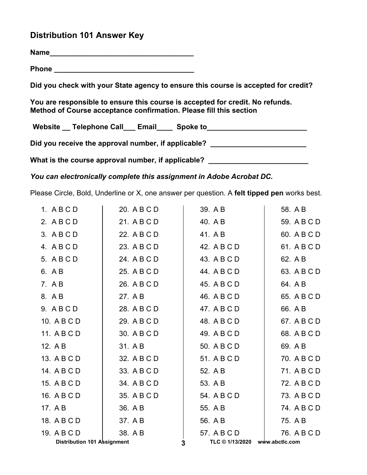# **Distribution 101 Answer Key**

**Name\_\_\_\_\_\_\_\_\_\_\_\_\_\_\_\_\_\_\_\_\_\_\_\_\_\_\_\_\_\_\_\_\_\_\_\_**

**Phone \_\_\_\_\_\_\_\_\_\_\_\_\_\_\_\_\_\_\_\_\_\_\_\_\_\_\_\_\_\_\_\_\_\_\_** 

**Did you check with your State agency to ensure this course is accepted for credit?** 

**You are responsible to ensure this course is accepted for credit. No refunds. Method of Course acceptance confirmation. Please fill this section** 

Website \_\_ Telephone Call \_\_ Email \_\_\_ Spoke to \_\_\_\_\_\_\_\_\_\_\_\_\_\_\_\_\_\_\_\_\_\_\_\_\_\_\_\_\_\_\_\_

Did you receive the approval number, if applicable?

What is the course approval number, if applicable? \_\_\_\_\_\_\_\_\_\_\_\_\_\_\_\_\_\_\_\_\_\_\_\_\_\_\_\_\_

*You can electronically complete this assignment in Adobe Acrobat DC.* 

Please Circle, Bold, Underline or X, one answer per question. A **felt tipped pen** works best.

| 1. ABCD                            | 20. A B C D | 39. A B         | 58. A B        |
|------------------------------------|-------------|-----------------|----------------|
| 2. ABCD                            | 21. A B C D | 40. A B         | 59. A B C D    |
| 3. ABCD                            | 22. A B C D | 41. A B         | 60. A B C D    |
| 4. ABCD                            | 23. A B C D | 42. A B C D     | 61. A B C D    |
| 5. A B C D                         | 24. A B C D | 43. A B C D     | 62. A B        |
| 6. A B                             | 25. A B C D | 44. A B C D     | 63. A B C D    |
| 7. A B                             | 26. A B C D | 45. A B C D     | 64. A B        |
| 8. A B                             | 27. A B     | 46. A B C D     | 65. A B C D    |
| 9. ABCD                            | 28. A B C D | 47. A B C D     | 66. A B        |
| 10. A B C D                        | 29. A B C D | 48. A B C D     | 67. A B C D    |
| 11. A B C D                        | 30. A B C D | 49. A B C D     | 68. A B C D    |
| 12. A B                            | 31. A B     | 50. A B C D     | 69. A B        |
| 13. A B C D                        | 32. A B C D | 51. A B C D     | 70. A B C D    |
| 14. A B C D                        | 33. A B C D | 52. A B         | 71. A B C D    |
| 15. A B C D                        | 34. A B C D | 53. A B         | 72. A B C D    |
| 16. A B C D                        | 35. A B C D | 54. A B C D     | 73. A B C D    |
| 17. A B                            | 36. A B     | 55. A B         | 74. A B C D    |
| 18. A B C D                        | 37. A B     | 56. A B         | 75. A B        |
| 19. A B C D                        | 38. A B     | 57. A B C D     | 76. A B C D    |
| <b>Distribution 101 Assignment</b> |             | TLC © 1/13/2020 | www.abctlc.com |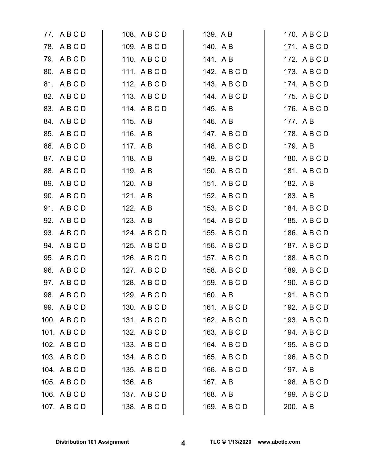|     | 77. ABCD     |          | 108. A B C D | 139. AB |              |          | 170. A B C D |
|-----|--------------|----------|--------------|---------|--------------|----------|--------------|
|     | 78. ABCD     |          | 109. A B C D |         | 140. AB      |          | 171. ABCD    |
|     | 79. ABCD     |          | 110. ABCD    |         | 141. AB      |          | 172. A B C D |
|     | 80. ABCD     |          | 111. ABCD    |         | 142. A B C D |          | 173. A B C D |
|     | 81. A B C D  |          | 112. A B C D |         | 143. A B C D |          | 174. A B C D |
|     | 82. A B C D  |          | 113. ABCD    |         | 144. A B C D |          | 175. A B C D |
|     | 83. A B C D  |          | 114. A B C D |         | 145. A B     |          | 176. A B C D |
|     | 84. A B C D  | 115. A B |              |         | 146. A B     |          | 177. A B     |
| 85. | ABCD         | 116. A B |              |         | 147. A B C D |          | 178. A B C D |
| 86. | ABCD         | 117. AB  |              |         | 148. ABCD    | 179. AB  |              |
|     | 87. A B C D  | 118. AB  |              |         | 149. ABCD    |          | 180. A B C D |
|     | 88. A B C D  | 119. AB  |              |         | 150. A B C D |          | 181. ABCD    |
|     | 89. ABCD     | 120. A B |              |         | 151. ABCD    | 182. A B |              |
| 90. | ABCD         | 121. AB  |              |         | 152. A B C D | 183. A B |              |
|     | 91. ABCD     | 122. A B |              |         | 153. A B C D |          | 184. A B C D |
|     | 92. A B C D  | 123. A B |              |         | 154. A B C D |          | 185. A B C D |
|     | 93. A B C D  |          | 124. A B C D |         | 155. A B C D |          | 186. A B C D |
| 94. | ABCD         |          | 125. A B C D |         | 156. A B C D |          | 187. A B C D |
| 95. | ABCD         |          | 126. A B C D |         | 157. A B C D |          | 188. A B C D |
| 96. | ABCD         |          | 127. A B C D |         | 158. A B C D |          | 189. A B C D |
| 97. | ABCD         |          | 128. A B C D |         | 159. A B C D |          | 190. A B C D |
|     | 98. A B C D  |          | 129. ABCD    |         | 160. A B     |          | 191. A B C D |
|     | 99. ABCD     |          | 130. A B C D |         | 161. A B C D |          | 192. A B C D |
|     | 100. A B C D |          | 131. ABCD    |         | 162. A B C D |          | 193. A B C D |
|     | 101. ABCD    |          | 132. A B C D |         | 163. A B C D |          | 194. ABCD    |
|     | 102. A B C D |          | 133. A B C D |         | 164. ABCD    |          | 195. A B C D |
|     | 103. A B C D |          | 134. A B C D |         | 165. A B C D |          | 196. A B C D |
|     | 104. A B C D |          | 135. A B C D |         | 166. A B C D | 197. A B |              |
|     | 105. A B C D | 136. A B |              |         | 167. A B     |          | 198. A B C D |
|     | 106. A B C D |          | 137. A B C D |         | 168. A B     |          | 199. ABCD    |
|     | 107. A B C D |          | 138. ABCD    |         | 169. A B C D | 200. A B |              |
|     |              |          |              |         |              |          |              |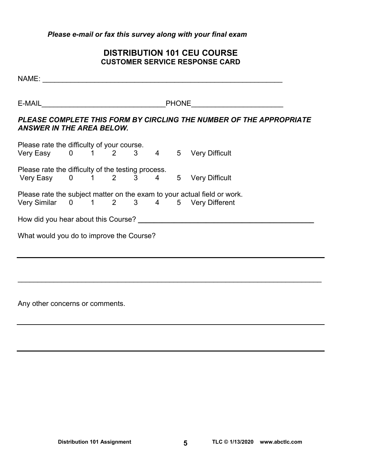## *Please e-mail or fax this survey along with your final exam*

# **DISTRIBUTION 101 CEU COURSE CUSTOMER SERVICE RESPONSE CARD**

NAME: \_\_\_\_\_\_\_\_\_\_\_\_\_\_\_\_\_\_\_\_\_\_\_\_\_\_\_\_\_\_\_\_\_\_\_\_\_\_\_\_\_\_\_\_\_\_\_\_\_\_\_\_\_\_\_\_\_\_\_\_ E-MAIL **E-MAIL** *PLEASE COMPLETE THIS FORM BY CIRCLING THE NUMBER OF THE APPROPRIATE ANSWER IN THE AREA BELOW.*  Please rate the difficulty of your course. Very Easy 0 1 2 3 4 5 Very Difficult Please rate the difficulty of the testing process. Very Easy 0 1 2 3 4 5 Very Difficult Please rate the subject matter on the exam to your actual field or work. Very Similar 0 1 2 3 4 5 Very Different How did you hear about this Course? **\_\_\_\_\_\_\_\_\_\_\_\_\_\_\_\_\_\_\_\_\_\_\_\_\_\_\_\_\_\_\_\_\_\_\_\_\_\_\_\_\_\_\_\_**  What would you do to improve the Course?

\_\_\_\_\_\_\_\_\_\_\_\_\_\_\_\_\_\_\_\_\_\_\_\_\_\_\_\_\_\_\_\_\_\_\_\_\_\_\_\_\_\_\_\_\_\_\_\_\_\_\_\_\_\_\_\_\_\_\_\_\_\_\_\_\_\_\_\_\_\_\_\_\_\_\_\_

Any other concerns or comments.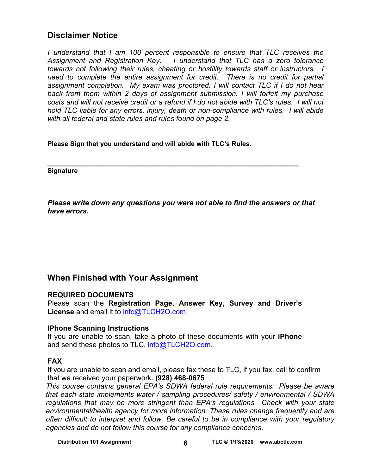# **Disclaimer Notice**

*I* understand that *I* am 100 percent responsible to ensure that TLC receives the *Assignment and Registration Key. I understand that TLC has a zero tolerance towards not following their rules, cheating or hostility towards staff or instructors. I*  need to complete the entire assignment for credit. There is no credit for partial *assignment completion. My exam was proctored. I will contact TLC if I do not hear back from them within 2 days of assignment submission. I will forfeit my purchase costs and will not receive credit or a refund if I do not abide with TLC's rules. I will not hold TLC liable for any errors, injury, death or non-compliance with rules. I will abide with all federal and state rules and rules found on page 2.* 

**Please Sign that you understand and will abide with TLC's Rules.** 

**\_\_\_\_\_\_\_\_\_\_\_\_\_\_\_\_\_\_\_\_\_\_\_\_\_\_\_\_\_\_\_\_\_\_\_\_\_\_\_\_\_\_\_\_\_\_\_\_\_\_\_\_\_\_ Signature** 

*Please write down any questions you were not able to find the answers or that have errors.* 

# **When Finished with Your Assignment**

# **REQUIRED DOCUMENTS**

Please scan the **Registration Page, Answer Key, Survey and Driver's License** and email it to [info@TLCH2O.com.](mailto:info@TLCH2O.com) 

# **IPhone Scanning Instructions**

If you are unable to scan, take a photo of these documents with your **iPhone** and send these photos to TLC, info@TLCH2O.com.

# **FAX**

If you are unable to scan and email, please fax these to TLC, if you fax, call to confirm that we received your paperwork. **(928) 468-0675** 

*This course contains general EPA's SDWA federal rule requirements. Please be aware that each state implements water / sampling procedures/ safety / environmental / SDWA regulations that may be more stringent than EPA's regulations. Check with your state environmental/health agency for more information. These rules change frequently and are often difficult to interpret and follow. Be careful to be in compliance with your regulatory agencies and do not follow this course for any compliance concerns.*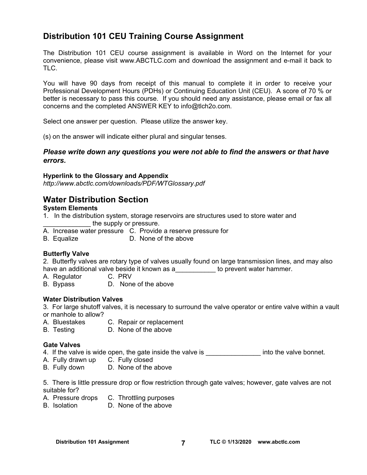# **Distribution 101 CEU Training Course Assignment**

The Distribution 101 CEU course assignment is available in Word on the Internet for your convenience, please visit [www.ABCTLC.com an](http://www.ABCTLC.com)d download the assignment and e-mail it back to TLC.

You will have 90 days from receipt of this manual to complete it in order to receive your Professional Development Hours (PDHs) or Continuing Education Unit (CEU). A score of 70 % or better is necessary to pass this course. If you should need any assistance, please email or fax all concerns and the completed ANSWER KEY to [info@tlch2o.com.](mailto:info@tlch2o.com) 

Select one answer per question. Please utilize the answer key.

(s) on the answer will indicate either plural and singular tenses.

## *Please write down any questions you were not able to find the answers or that have errors.*

## **Hyperlink to the Glossary and Appendix**

*<http://www.abctlc.com/downloads/PDF/WTGlossary.pdf>*

# **Water Distribution Section**

# **System Elements**

- 1. In the distribution system, storage reservoirs are structures used to store water and the supply or pressure.
- A. Increase water pressure C. Provide a reserve pressure for
- B. Equalize D. None of the above

# **Butterfly Valve**

2. Butterfly valves are rotary type of valves usually found on large transmission lines, and may also have an additional valve beside it known as a **which is a contract to prevent water hammer**.

- A. Regulator C. PRV
- B. Bypass D. None of the above

## **Water Distribution Valves**

3. For large shutoff valves, it is necessary to surround the valve operator or entire valve within a vault or manhole to allow?

- A. Bluestakes C. Repair or replacement
- B. Testing D. None of the above

## **Gate Valves**

4. If the valve is wide open, the gate inside the valve is **into the valve bonnet.** 

- A. Fully drawn up C. Fully closed
- B. Fully down D. None of the above

5. There is little pressure drop or flow restriction through gate valves; however, gate valves are not suitable for?

- A. Pressure drops C. Throttling purposes
- B. Isolation D. None of the above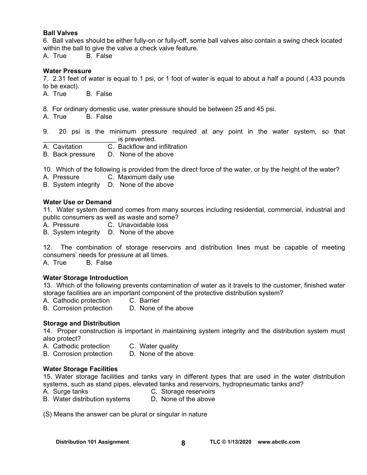#### **Ball Valves**

6. Ball valves should be either fully-on or fully-off, some ball valves also contain a swing check located within the ball to give the valve a check valve feature.

A. True B. False

#### **Water Pressure**

7. 2.31 feet of water is equal to 1 psi, or 1 foot of water is equal to about a half a pound (.433 pounds to be exact).

A. True B. False

- 8. For ordinary domestic use, water pressure should be between 25 and 45 psi.
- A. True B. False

9. 20 psi is the minimum pressure required at any point in the water system, so that is prevented.

- A. Cavitation C. Backflow and infiltration
- B. Back pressure D. None of the above

10. Which of the following is provided from the direct force of the water, or by the height of the water?

- A. Pressure C. Maximum daily use
- B. System integrity D. None of the above

#### **Water Use or Demand**

11. Water system demand comes from many sources including residential, commercial, industrial and public consumers as well as waste and some?

- A. Pressure C. Unavoidable loss
- B. System integrity D. None of the above

12. The combination of storage reservoirs and distribution lines must be capable of meeting consumers' needs for pressure at all times.

A. True B. False

#### **Water Storage Introduction**

13. Which of the following prevents contamination of water as it travels to the customer, finished water storage facilities are an important component of the protective distribution system?

- A. Cathodic protection C. Barrier
- B. Corrosion protection D. None of the above

#### **Storage and Distribution**

14. Proper construction is important in maintaining system integrity and the distribution system must also protect?

- A. Cathodic protection C. Water quality
- B. Corrosion protection D. None of the above

#### **Water Storage Facilities**

15. Water storage facilities and tanks vary in different types that are used in the water distribution systems, such as stand pipes, elevated tanks and reservoirs, hydropneumatic tanks and?

- A.Surge tanks C. Storage reservoirs
- B. Water distribution systems D. None of the above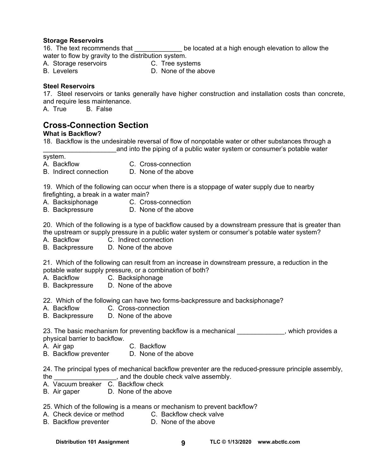#### **Storage Reservoirs**

16. The text recommends that the state of the located at a high enough elevation to allow the water to flow by gravity to the distribution system.

- A. Storage reservoirs **C. Tree systems**
- B. Levelers **D. None of the above**

## **Steel Reservoirs**

17. Steel reservoirs or tanks generally have higher construction and installation costs than concrete, and require less maintenance.<br>A. True B. False

**B.** False

# **Cross-Connection Section**

## **What is Backflow?**

18. Backflow is the undesirable reversal of flow of nonpotable water or other substances through a and into the piping of a public water system or consumer's potable water

system.

- 
- A. Backflow C. Cross-connection
- B. Indirect connection D. None of the above
	-

19. Which of the following can occur when there is a stoppage of water supply due to nearby firefighting, a break in a water main?

- 
- A. Backsiphonage C. Cross-connection
- B. Backpressure D. None of the above

20. Which of the following is a type of backflow caused by a downstream pressure that is greater than the upstream or supply pressure in a public water system or consumer's potable water system?

- A. Backflow C. Indirect connection
- B. Backpressure D. None of the above

21. Which of the following can result from an increase in downstream pressure, a reduction in the potable water supply pressure, or a combination of both?

- A. Backflow C. Backsiphonage
- B. Backpressure D. None of the above

22. Which of the following can have two forms-backpressure and backsiphonage?

- A. Backflow C. Cross-connection
- B. Backpressure D. None of the above

23. The basic mechanism for preventing backflow is a mechanical \_\_\_\_\_\_\_\_\_\_\_\_, which provides a physical barrier to backflow.

- A. Air gap C. Backflow
- B. Backflow preventer D. None of the above

24. The principal types of mechanical backflow preventer are the reduced-pressure principle assembly, the \_\_\_\_\_\_\_\_\_\_\_\_\_\_\_\_\_, and the double check valve assembly.

- A. Vacuum breaker C. Backflow check
- B. Air gaper D. None of the above
- 25. Which of the following is a means or mechanism to prevent backflow?
- A. Check device or method C. Backflow check valve
- B. Backflow preventer **D.** None of the above

Distribution 101 Assignment **g TLC © 1/13/2020** www.abctlc.com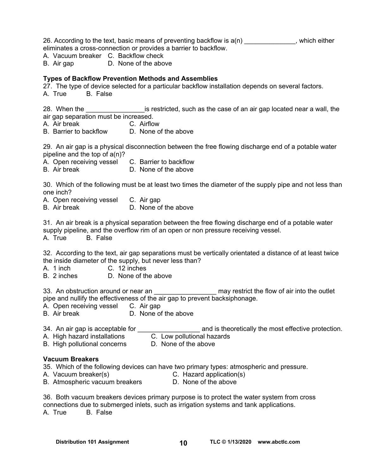26. According to the text, basic means of preventing backflow is  $a(n)$  , which either eliminates a cross-connection or provides a barrier to backflow.

A. Vacuum breaker C. Backflow check

B. Air gap D. None of the above

## **Types of Backflow Prevention Methods and Assemblies**

27. The type of device selected for a particular backflow installation depends on several factors.

A. True B. False

28. When the **Example 28** is restricted, such as the case of an air gap located near a wall, the air gap separation must be increased.

- A. Air break C. Airflow
- B. Barrier to backflow D. None of the above

29. An air gap is a physical disconnection between the free flowing discharge end of a potable water pipeline and the top of a(n)?

- A. Open receiving vessel C. Barrier to backflow
- B. Air break D. None of the above

30. Which of the following must be at least two times the diameter of the supply pipe and not less than one inch?

A. Open receiving vessel C. Air gap

B. Air break D. None of the above

31. An air break is a physical separation between the free flowing discharge end of a potable water supply pipeline, and the overflow rim of an open or non pressure receiving vessel.

A. True B. False

32. According to the text, air gap separations must be vertically orientated a distance of at least twice the inside diameter of the supply, but never less than?

A. 1 inch C. 12 inches

B. 2 inches D. None of the above

33. An obstruction around or near an \_\_\_\_\_\_\_\_\_\_\_\_\_\_\_\_\_\_\_\_\_ may restrict the flow of air into the outlet pipe and nullify the effectiveness of the air gap to prevent backsiphonage.

- A. Open receiving vessel C. Air gap
- B. Air break D. None of the above

34. An air gap is acceptable for \_\_\_\_\_\_\_\_\_\_\_\_\_\_\_\_\_ and is theoretically the most effective protection. A. High hazard installations

- 
- B. High pollutional concerns D. None of the above

## **Vacuum Breakers**

35. Which of the following devices can have two primary types: atmospheric and pressure.

A. Vacuum breaker(s) C. Hazard application(s)

- 
- B. Atmospheric vacuum breakers D. None of the above
- 

36. Both vacuum breakers devices primary purpose is to protect the water system from cross connections due to submerged inlets, such as irrigation systems and tank applications. A. True B. False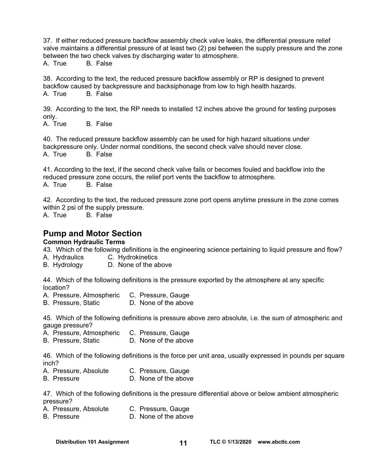37. If either reduced pressure backflow assembly check valve leaks, the differential pressure relief valve maintains a differential pressure of at least two (2) psi between the supply pressure and the zone between the two check valves by discharging water to atmosphere.

A. True B. False

38. According to the text, the reduced pressure backflow assembly or RP is designed to prevent backflow caused by backpressure and backsiphonage from low to high health hazards. A. True B. False

39. According to the text, the RP needs to installed 12 inches above the ground for testing purposes only.

A. True B. False

40. The reduced pressure backflow assembly can be used for high hazard situations under backpressure only. Under normal conditions, the second check valve should never close. A. True B. False

41. According to the text, if the second check valve fails or becomes fouled and backflow into the reduced pressure zone occurs, the relief port vents the backflow to atmosphere. A. True B. False

42. According to the text, the reduced pressure zone port opens anytime pressure in the zone comes within 2 psi of the supply pressure.<br>A. True B. False A. True

# **Pump and Motor Section**

## **Common Hydraulic Terms**

43. Which of the following definitions is the engineering science pertaining to liquid pressure and flow? A. Hydraulics C. Hydrokinetics

B. Hydrology D. None of the above

44. Which of the following definitions is the pressure exported by the atmosphere at any specific location?

A. Pressure, Atmospheric C. Pressure, Gauge

B. Pressure, Static D. None of the above

45. Which of the following definitions is pressure above zero absolute, i.e. the sum of atmospheric and gauge pressure?

A. Pressure, Atmospheric C. Pressure, Gauge<br>B. Pressure, Static C. D. None of the above

B. Pressure, Static

46. Which of the following definitions is the force per unit area, usually expressed in pounds per square inch?

- A. Pressure, Absolute C. Pressure, Gauge
- B. Pressure D. None of the above

47. Which of the following definitions is the pressure differential above or below ambient atmospheric pressure?

- A. Pressure, Absolute C. Pressure, Gauge
- B. Pressure D. None of the above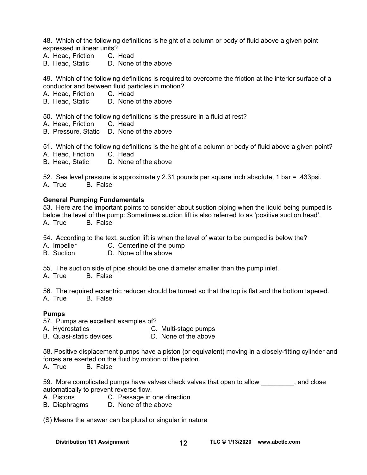48. Which of the following definitions is height of a column or body of fluid above a given point expressed in linear units?

- A. Head, Friction C. Head
- B. Head, Static D. None of the above

49. Which of the following definitions is required to overcome the friction at the interior surface of a conductor and between fluid particles in motion?

- A. Head, Friction C. Head
- B. Head, Static D. None of the above

50. Which of the following definitions is the pressure in a fluid at rest?

- A. Head, Friction C. Head
- B. Pressure, Static D. None of the above

51. Which of the following definitions is the height of a column or body of fluid above a given point?

- A. Head, Friction C. Head
- B. Head, Static D. None of the above

52. Sea level pressure is approximately 2.31 pounds per square inch absolute, 1 bar = .433psi. A. True B. False

#### **General Pumping Fundamentals**

53. Here are the important points to consider about suction piping when the liquid being pumped is below the level of the pump: Sometimes suction lift is also referred to as 'positive suction head'. A. True B. False

54. According to the text, suction lift is when the level of water to be pumped is below the?

- A. Impeller C. Centerline of the pump
- B. Suction D. None of the above

55. The suction side of pipe should be one diameter smaller than the pump inlet.

A. True B. False

56. The required eccentric reducer should be turned so that the top is flat and the bottom tapered. A. True B. False

#### **Pumps**

- 57. Pumps are excellent examples of?
- A. Hydrostatics C. Multi-stage pumps<br>B. Quasi-static devices D. None of the above
- B. Quasi-static devices

58. Positive displacement pumps have a piston (or equivalent) moving in a closely-fitting cylinder and forces are exerted on the fluid by motion of the piston.

A. True B. False

59. More complicated pumps have valves check valves that open to allow same close automatically to prevent reverse flow.

- A. Pistons C. Passage in one direction
- B. Diaphragms D. None of the above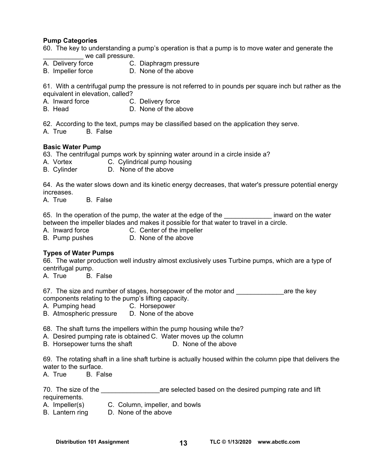#### **Pump Categories**

- 60. The key to understanding a pump's operation is that a pump is to move water and generate the we call pressure.
- A. Delivery force C. Diaphragm pressure
- B. Impeller force D. None of the above

61. With a centrifugal pump the pressure is not referred to in pounds per square inch but rather as the equivalent in elevation, called?

- A. Inward force C. Delivery force<br>B. Head D. None of the ab
- D. None of the above

62. According to the text, pumps may be classified based on the application they serve.

A. True B. False

#### **Basic Water Pump**

63. The centrifugal pumps work by spinning water around in a circle inside a?

- A. Vortex **C. Cylindrical pump housing**
- B. Cylinder D. None of the above

64. As the water slows down and its kinetic energy decreases, that water's pressure potential energy increases.

A. True B. False

65. In the operation of the pump, the water at the edge of the same inward on the water between the impeller blades and makes it possible for that water to travel in a circle.

- A. Inward force **C. Center of the impeller**
- B. Pump pushes **D. None of the above**

#### **Types of Water Pumps**

66. The water production well industry almost exclusively uses Turbine pumps, which are a type of centrifugal pump.

A. True B. False

67. The size and number of stages, horsepower of the motor and **Example 2** are the key components relating to the pump's lifting capacity.

- A. Pumping head C. Horsepower
- B. Atmospheric pressure D. None of the above

68. The shaft turns the impellers within the pump housing while the?

- A. Desired pumping rate is obtained C. Water moves up the column
- B. Horsepower turns the shaft D. None of the above

69. The rotating shaft in a line shaft turbine is actually housed within the column pipe that delivers the water to the surface.

A. True B. False

70. The size of the **the substitute of the selected based on the desired pumping rate and lift** requirements.

- A. Impeller(s) C. Column, impeller, and bowls
- B. Lantern ring D. None of the above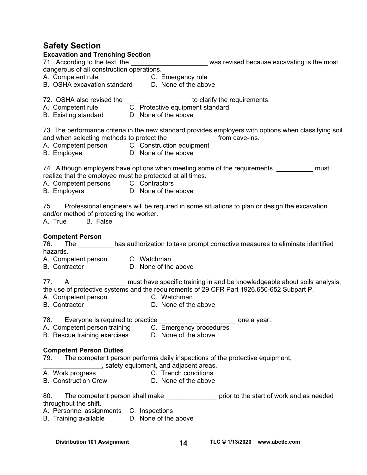# **Safety Section**

#### **Excavation and Trenching Section**

| dangerous of all construction operations.                                                                                             |                                  |                                                                                                                                                                                             |
|---------------------------------------------------------------------------------------------------------------------------------------|----------------------------------|---------------------------------------------------------------------------------------------------------------------------------------------------------------------------------------------|
|                                                                                                                                       |                                  |                                                                                                                                                                                             |
| A. Competent rule C. Emergency rule<br>B. OSHA excavation standard D. None of the above                                               |                                  |                                                                                                                                                                                             |
| 72. OSHA also revised the ____________________ to clarify the requirements.                                                           |                                  |                                                                                                                                                                                             |
|                                                                                                                                       | C. Protective equipment standard |                                                                                                                                                                                             |
| A. Competent rule C. Protective equipme<br>B. Existing standard D. None of the above                                                  |                                  |                                                                                                                                                                                             |
| and when selecting methods to protect the ________________ from cave-ins.<br>A. Competent person C. Construction equipment            |                                  | 73. The performance criteria in the new standard provides employers with options when classifying soil                                                                                      |
| B. Employee D. None of the above                                                                                                      |                                  |                                                                                                                                                                                             |
| realize that the employee must be protected at all times.<br>A. Competent persons C. Contractors<br>B. Employers D. None of the above |                                  | 74. Although employers have options when meeting some of the requirements, measure must                                                                                                     |
| and/or method of protecting the worker.<br>A. True<br>B. False                                                                        |                                  | 75. Professional engineers will be required in some situations to plan or design the excavation                                                                                             |
| <b>Competent Person</b>                                                                                                               |                                  |                                                                                                                                                                                             |
| 76.                                                                                                                                   |                                  | The ___________has authorization to take prompt corrective measures to eliminate identified                                                                                                 |
| hazards.                                                                                                                              |                                  |                                                                                                                                                                                             |
| A. Competent person C. Watchman<br>B. Contractor D. None of the above                                                                 |                                  |                                                                                                                                                                                             |
|                                                                                                                                       |                                  |                                                                                                                                                                                             |
| 77.<br>A. Competent person C. Watchman<br>B. Contractor D. None of the                                                                | D. None of the above             | A __________________ must have specific training in and be knowledgeable about soils analysis,<br>the use of protective systems and the requirements of 29 CFR Part 1926.650-652 Subpart P. |
| Everyone is required to practice<br>78.                                                                                               |                                  | one a year.                                                                                                                                                                                 |

- 
- A. Competent person training C. Emergency procedures
- B. Rescue training exercises D. None of the above

# **Competent Person Duties**

79. The competent person performs daily inspections of the protective equipment,

- \_\_\_\_\_\_\_\_\_\_\_\_\_\_\_\_, safety equipment, and adjacent areas.
	- C. Trench conditions
- B. Construction Crew D. None of the above

80. The competent person shall make example in prior to the start of work and as needed throughout the shift.

- A. Personnel assignments C. Inspections
- B. Training available D. None of the above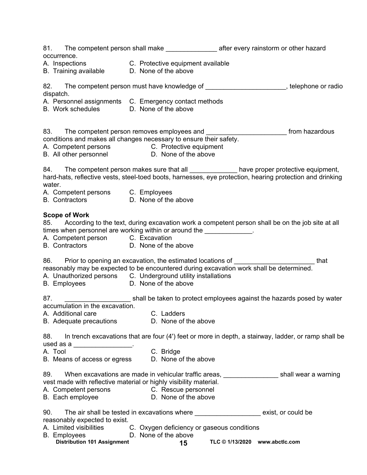| 81. The competent person shall make and after every rainstorm or other hazard<br>occurrence.                                                                                                                                                                                                  |                                                                                                                           |                                |  |
|-----------------------------------------------------------------------------------------------------------------------------------------------------------------------------------------------------------------------------------------------------------------------------------------------|---------------------------------------------------------------------------------------------------------------------------|--------------------------------|--|
| A. Inspections C. Protective equipment available<br>B. Training available D. None of the above                                                                                                                                                                                                |                                                                                                                           |                                |  |
| 82. The competent person must have knowledge of ______________________, telephone or radio<br>dispatch.                                                                                                                                                                                       |                                                                                                                           |                                |  |
| A. Personnel assignments C. Emergency contact methods<br>B. Work schedules <b>D.</b> None of the above                                                                                                                                                                                        |                                                                                                                           |                                |  |
| 83. The competent person removes employees and <b>Election Control of the competence of the competent</b> from hazardous<br>conditions and makes all changes necessary to ensure their safety.<br>A. Competent persons C. Protective equipment<br>B. All other personnel D. None of the above |                                                                                                                           |                                |  |
| 84. The competent person makes sure that all ______________ have proper protective equipment,<br>hard-hats, reflective vests, steel-toed boots, harnesses, eye protection, hearing protection and drinking<br>water.                                                                          |                                                                                                                           |                                |  |
| A. Competent persons C. Employees<br>B. Contractors D. None of the above                                                                                                                                                                                                                      |                                                                                                                           |                                |  |
| <b>Scope of Work</b><br>85. According to the text, during excavation work a competent person shall be on the job site at all<br>times when personnel are working within or around the _____________.<br>A. Competent person C. Excavation<br>B. Contractors <b>D. None of the above</b>       |                                                                                                                           |                                |  |
| 86. Prior to opening an excavation, the estimated locations of _________________________that<br>reasonably may be expected to be encountered during excavation work shall be determined.<br>A. Unauthorized persons C. Underground utility installations<br>B. Employees D. None of the above |                                                                                                                           |                                |  |
| 87.<br>accumulation in the excavation.                                                                                                                                                                                                                                                        | shall be taken to protect employees against the hazards posed by water                                                    |                                |  |
| A. Additional care<br>B. Adequate precautions                                                                                                                                                                                                                                                 | C. Ladders <b>C.</b> C. Ladders<br>D. None of the above                                                                   |                                |  |
| 88. In trench excavations that are four (4') feet or more in depth, a stairway, ladder, or ramp shall be<br>used as a ___________________.                                                                                                                                                    |                                                                                                                           |                                |  |
| A. Tool<br>B. Means of access or egress                                                                                                                                                                                                                                                       | C. Bridge<br>D. None of the above                                                                                         |                                |  |
| 89.<br>vest made with reflective material or highly visibility material.<br>A. Competent persons C. Rescue personnel<br>B. Each employee                                                                                                                                                      | When excavations are made in vehicular traffic areas, _______________________shall wear a warning<br>D. None of the above |                                |  |
| 90.<br>reasonably expected to exist.<br>A. Limited visibilities C. Oxygen deficiency or gaseous conditions<br><b>B.</b> Employees<br><b>Distribution 101 Assignment</b>                                                                                                                       | The air shall be tested in excavations where ________________________ exist, or could be<br>D. None of the above<br>15    | TLC © 1/13/2020 www.abctlc.com |  |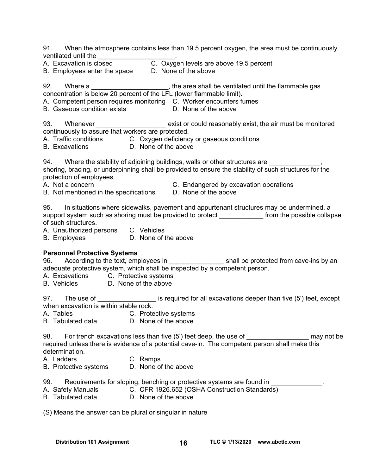91. When the atmosphere contains less than 19.5 percent oxygen, the area must be continuously ventilated until the \_\_\_\_\_\_\_\_\_\_\_\_\_\_\_\_\_\_\_\_\_.

A. Excavation is closed C. Oxygen levels are above 19.5 percent<br>B. Employees enter the space D. None of the above

B. Employees enter the space

92. Where a metally controlled the area shall be ventilated until the flammable gas concentration is below 20 percent of the LFL (lower flammable limit).

A. Competent person requires monitoring C. Worker encounters fumes<br>B. Gaseous condition exists **Exe D.** None of the above

B. Gaseous condition exists

93. Whenever **Exist or could reasonably exist, the air must be monitored** continuously to assure that workers are protected.

- A. Traffic conditions C. Oxygen deficiency or gaseous conditions
- B. Excavations D. None of the above

94. Where the stability of adjoining buildings, walls or other structures are shoring, bracing, or underpinning shall be provided to ensure the stability of such structures for the protection of employees.

- 
- A. Not a concern **A.** C. Endangered by excavation operations
- B. Not mentioned in the specifications D. None of the above
- 

95. In situations where sidewalks, pavement and appurtenant structures may be undermined, a support system such as shoring must be provided to protect from the possible collapse of such structures.

- A. Unauthorized persons C. Vehicles
- B. Employees D. None of the above

## **Personnel Protective Systems**

96. According to the text, employees in The shall be protected from cave-ins by an adequate protective system, which shall be inspected by a competent person.

A. Excavations C. Protective systems

B. Vehicles D. None of the above

97. The use of  $\qquad \qquad$  is required for all excavations deeper than five (5') feet, except when excavation is within stable rock.

- A. Tables **C. Protective systems**
- B. Tabulated data D. None of the above

98. For trench excavations less than five (5') feet deep, the use of Theorem and the may not be required unless there is evidence of a potential cave-in. The competent person shall make this determination.

A. Ladders C. Ramps

B. Protective systems D. None of the above

99. Requirements for sloping, benching or protective systems are found in

- A. Safety Manuals C. CFR 1926.652 (OSHA Construction Standards)
- B. Tabulated data D. None of the above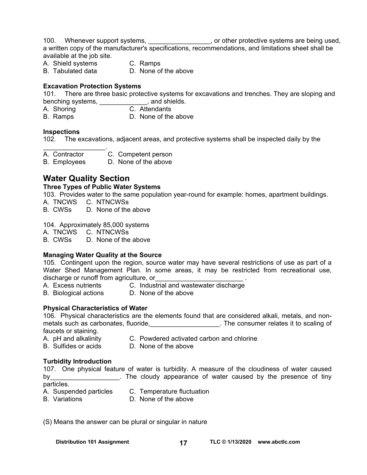100. Whenever support systems, \_\_\_\_\_\_\_\_\_\_\_\_\_\_\_\_\_, or other protective systems are being used, a written copy of the manufacturer's specifications, recommendations, and limitations sheet shall be available at the job site.

- A. Shield systems C. Ramps
- 
- 
- B. Tabulated data D. None of the above

## **Excavation Protection Systems**

101. There are three basic protective systems for excavations and trenches. They are sloping and benching systems, \_\_\_\_\_\_\_\_\_\_\_\_\_, and shields.<br>A. Shoring contact C. Attendants

- A. Shoring
- B. Ramps D. None of the above

## **Inspections**

102. The excavations, adjacent areas, and protective systems shall be inspected daily by the

A. Contractor C. Competent person

B. Employees D. None of the above

# **Water Quality Section**

 $\mathcal{L}_\text{max}$  . The set of the set of the set of the set of the set of the set of the set of the set of the set of the set of the set of the set of the set of the set of the set of the set of the set of the set of the set

#### **Three Types of Public Water Systems**

103.Provides water to the same population year-round for example: homes, apartment buildings.

- A. TNCWS C. NTNCWSs
- B. CWSs D. None of the above

#### 104. Approximately 85,000 systems

A. TNCWS C. NTNCWSs

B. CWSs D. None of the above

## **Managing Water Quality at the Source**

105. Contingent upon the region, source water may have several restrictions of use as part of a Water Shed Management Plan. In some areas, it may be restricted from recreational use, discharge or runoff from agriculture, or

- A. Excess nutrients C. Industrial and wastewater discharge
- B. Biological actions D. None of the above
	-

## **Physical Characteristics of Water**

106. Physical characteristics are the elements found that are considered alkali, metals, and nonmetals such as carbonates, fluoride, the consumer relates it to scaling of faucets or staining.

- A. pH and alkalinity C. Powdered activated carbon and chlorine
- 
- B. Sulfides or acids D. None of the above

## **Turbidity Introduction**

107. One physical feature of water is turbidity. A measure of the cloudiness of water caused by by the cloudy appearance of water caused by the presence of tiny

particles.

- A. Suspended particles C. Temperature fluctuation
- 
- B. Variations D. None of the above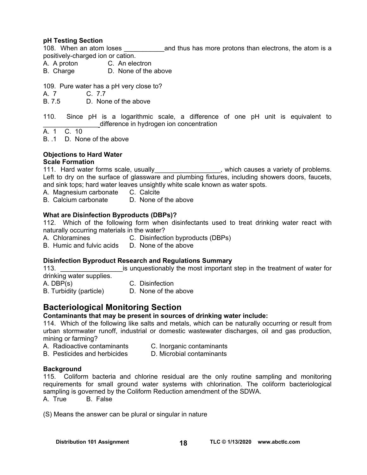## **pH Testing Section**

108. When an atom loses \_\_\_\_\_\_\_\_\_\_\_and thus has more protons than electrons, the atom is a positively-charged ion or cation.

- A. A proton C. An electron
- B. Charge D. None of the above

109. Pure water has a pH very close to?

A. 7 C. 77

B. 7.5 D. None of the above

110. Since pH is a logarithmic scale, a difference of one pH unit is equivalent to difference in hydrogen ion concentration

A. 1 C. 10

B. .1 D. None of the above

#### **Objections to Hard Water**

#### **Scale Formation**

111. Hard water forms scale, usually express that is a variety of problems. Left to dry on the surface of glassware and plumbing fixtures, including showers doors, faucets, and sink tops; hard water leaves unsightly white scale known as water spots.

- A. Magnesium carbonate C. Calcite
- B. Calcium carbonate D. None of the above

#### **What are Disinfection Byproducts (DBPs)?**

112. Which of the following form when disinfectants used to treat drinking water react with naturally occurring materials in the water?

- A. Chloramines C. Disinfection byproducts (DBPs)
- B. Humic and fulvic acids D. None of the above

#### **Disinfection Byproduct Research and Regulations Summary**

113. **113. Example 1** is unquestionably the most important step in the treatment of water for drinking water supplies.

A. DBP(s) C. Disinfection

- 
- 
- B. Turbidity (particle) D. None of the above

# **Bacteriological Monitoring Section**

#### **Contaminants that may be present in sources of drinking water include:**

114. Which of the following like salts and metals, which can be naturally occurring or result from urban stormwater runoff, industrial or domestic wastewater discharges, oil and gas production, mining or farming?

- A. Radioactive contaminants C. Inorganic contaminants
	-
- B. Pesticides and herbicides D. Microbial contaminants

#### **Background**

115. Coliform bacteria and chlorine residual are the only routine sampling and monitoring requirements for small ground water systems with chlorination. The coliform bacteriological sampling is governed by the Coliform Reduction amendment of the SDWA.

A. True B. False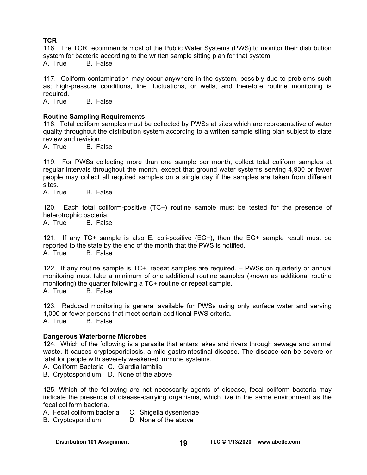# **TCR**

116. The TCR recommends most of the Public Water Systems (PWS) to monitor their distribution system for bacteria according to the written sample sitting plan for that system.

A. True B. False

117. Coliform contamination may occur anywhere in the system, possibly due to problems such as; high-pressure conditions, line fluctuations, or wells, and therefore routine monitoring is required.

A. True B. False

## **Routine Sampling Requirements**

118. Total coliform samples must be collected by PWSs at sites which are representative of water quality throughout the distribution system according to a written sample siting plan subject to state review and revision.

A. True B. False

119. For PWSs collecting more than one sample per month, collect total coliform samples at regular intervals throughout the month, except that ground water systems serving 4,900 or fewer people may collect all required samples on a single day if the samples are taken from different sites.

A. True B. False

120. Each total coliform-positive (TC+) routine sample must be tested for the presence of heterotrophic bacteria.

A. True B. False

121. If any TC+ sample is also E. coli-positive (EC+), then the EC+ sample result must be reported to the state by the end of the month that the PWS is notified. A. True B. False

122. If any routine sample is TC+, repeat samples are required. – PWSs on quarterly or annual monitoring must take a minimum of one additional routine samples (known as additional routine monitoring) the quarter following a TC+ routine or repeat sample. A. True B. False

123. Reduced monitoring is general available for PWSs using only surface water and serving 1,000 or fewer persons that meet certain additional PWS criteria. A. True B. False

## **Dangerous Waterborne Microbes**

124. Which of the following is a parasite that enters lakes and rivers through sewage and animal waste. It causes cryptosporidiosis, a mild gastrointestinal disease. The disease can be severe or fatal for people with severely weakened immune systems.

A. Coliform Bacteria C. Giardia lamblia

B. Cryptosporidium D. None of the above

125. Which of the following are not necessarily agents of disease, fecal coliform bacteria may indicate the presence of disease-carrying organisms, which live in the same environment as the fecal coliform bacteria.

A. Fecal coliform bacteria C. Shigella dysenteriae

B. Cryptosporidium D. None of the above

Distribution 101 Assignment 19 and 19 and TLC © 1/13/2020 www.abctlc.com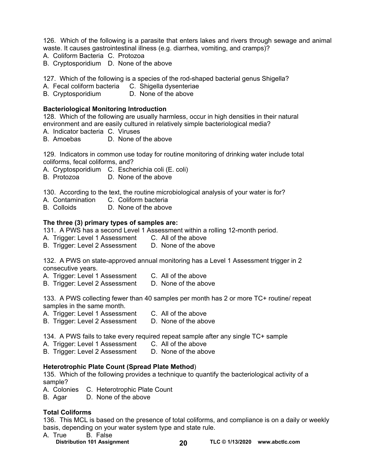126. Which of the following is a parasite that enters lakes and rivers through sewage and animal waste. It causes gastrointestinal illness (e.g. diarrhea, vomiting, and cramps)?

- A. Coliform Bacteria C. Protozoa
- B. Cryptosporidium D. None of the above

127. Which of the following is a species of the rod-shaped bacterial genus Shigella?

A. Fecal coliform bacteria C. Shigella dysenteriae

B. Cryptosporidium D. None of the above

## **Bacteriological Monitoring Introduction**

128. Which of the following are usually harmless, occur in high densities in their natural environment and are easily cultured in relatively simple bacteriological media?

A. Indicator bacteria C. Viruses

B. Amoebas D. None of the above

129. Indicators in common use today for routine monitoring of drinking water include total coliforms, fecal coliforms, and?

A. Cryptosporidium C. Escherichia coli (E. coli)

B. Protozoa D. None of the above

130. According to the text, the routine microbiological analysis of your water is for?

- A. Contamination C. Coliform bacteria
- B. Colloids D. None of the above

#### **The three (3) primary types of samples are:**

131. A PWS has a second Level 1 Assessment within a rolling 12-month period.

A. Trigger: Level 1 Assessment C. All of the above

B. Trigger: Level 2 Assessment D. None of the above

132. A PWS on state-approved annual monitoring has a Level 1 Assessment trigger in 2 consecutive years.

- A. Trigger: Level 1 Assessment C. All of the above
- B. Trigger: Level 2 Assessment D. None of the above

133. A PWS collecting fewer than 40 samples per month has 2 or more TC+ routine/ repeat samples in the same month.

A. Trigger: Level 1 Assessment C. All of the above

B. Trigger: Level 2 Assessment D. None of the above

134. A PWS fails to take every required repeat sample after any single TC+ sample

A. Trigger: Level 1 Assessment C. All of the above

B. Trigger: Level 2 Assessment D. None of the above

## **Heterotrophic Plate Count (Spread Plate Method**)

135. Which of the following provides a technique to quantify the bacteriological activity of a sample?

A. Colonies C. Heterotrophic Plate Count

B. Agar D. None of the above

## **Total Coliforms**

136. This MCL is based on the presence of total coliforms, and compliance is on a daily or weekly basis, depending on your water system type and state rule.

- A. True B. False
	-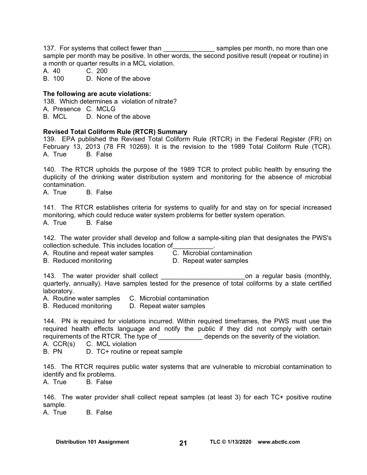137. For systems that collect fewer than started as amples per month, no more than one sample per month may be positive. In other words, the second positive result (repeat or routine) in a month or quarter results in a MCL violation.

A. 40 C. 200

B. 100 D. None of the above

#### **The following are acute violations:**

138. Which determines a violation of nitrate?

A. Presence C. MCLG

B. MCL D. None of the above

#### **Revised Total Coliform Rule (RTCR) Summary**

139. EPA published the Revised Total Coliform Rule (RTCR) in the Federal Register (FR) on February 13, 2013 (78 FR 10269). It is the revision to the 1989 Total Coliform Rule (TCR). A. True B. False

140. The RTCR upholds the purpose of the 1989 TCR to protect public health by ensuring the duplicity of the drinking water distribution system and monitoring for the absence of microbial contamination.

A. True B. False

141. The RTCR establishes criteria for systems to qualify for and stay on for special increased monitoring, which could reduce water system problems for better system operation.

A. True B. False

142. The water provider shall develop and follow a sample-siting plan that designates the PWS's collection schedule. This includes location of\_\_\_\_\_\_\_\_\_\_\_.

A. Routine and repeat water samples C. Microbial contamination

B. Reduced monitoring **D. Repeat water samples** 

143. The water provider shall collect the state of the control on a regular basis (monthly, quarterly, annually). Have samples tested for the presence of total coliforms by a state certified laboratory.

A. Routine water samples C. Microbial contamination

B. Reduced monitoring D. Repeat water samples

144. PN is required for violations incurred. Within required timeframes, the PWS must use the required health effects language and notify the public if they did not comply with certain requirements of the RTCR. The type of depends on the severity of the violation.

A. CCR(s) C. MCL violation

B. PN D. TC+ routine or repeat sample

145. The RTCR requires public water systems that are vulnerable to microbial contamination to identify and fix problems.

A. True B. False

146. The water provider shall collect repeat samples (at least 3) for each TC+ positive routine sample.

A. True B. False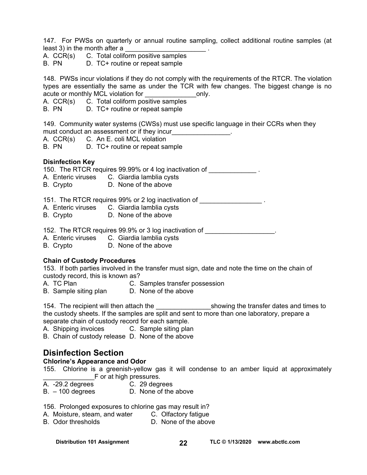147. For PWSs on quarterly or annual routine sampling, collect additional routine samples (at least 3) in the month after a

A. CCR(s) C. Total coliform positive samples

B. PN D. TC+ routine or repeat sample

148. PWSs incur violations if they do not comply with the requirements of the RTCR. The violation types are essentially the same as under the TCR with few changes. The biggest change is no acute or monthly MCL violation for The Conductor only.

A. CCR(s) C. Total coliform positive samples

B. PN D. TC+ routine or repeat sample

149. Community water systems (CWSs) must use specific language in their CCRs when they must conduct an assessment or if they incur

- A. CCR(s) C. An E. coli MCL violation
- B. PN D. TC+ routine or repeat sample

## **Disinfection Key**

150. The RTCR requires 99.99% or 4 log inactivation of

- A. Enteric viruses C. Giardia lamblia cysts
- B. Crypto D. None of the above

151. The RTCR requires 99% or 2 log inactivation of \_\_\_\_\_\_\_\_\_\_\_\_\_\_\_\_\_\_\_\_\_.

- A. Enteric viruses C. Giardia lamblia cysts
- B. Crypto D. None of the above

152. The RTCR requires 99.9% or 3 log inactivation of  $\qquad \qquad$ 

- A. Enteric viruses C. Giardia lamblia cysts
- B. Crypto D. None of the above

## **Chain of Custody Procedures**

153. If both parties involved in the transfer must sign, date and note the time on the chain of custody record, this is known as?

- A. TC Plan C. Samples transfer possession
- B. Sample siting plan D. None of the above

154. The recipient will then attach the **witch the subset of the set of the transfer dates and times to** the custody sheets. If the samples are split and sent to more than one laboratory, prepare a separate chain of custody record for each sample.

- A. Shipping invoices C. Sample siting plan
- B. Chain of custody release D. None of the above

# **Disinfection Section**

## **Chlorine's Appearance and Odor**

155. Chlorine is a greenish-yellow gas it will condense to an amber liquid at approximately F or at high pressures.

- A. -29.2 degrees C. 29 degrees
	-
- B. 100 degrees D. None of the above

# 156. Prolonged exposures to chlorine gas may result in?

- A. Moisture, steam, and water C. Olfactory fatigue
- B. Odor thresholds **D.** None of the above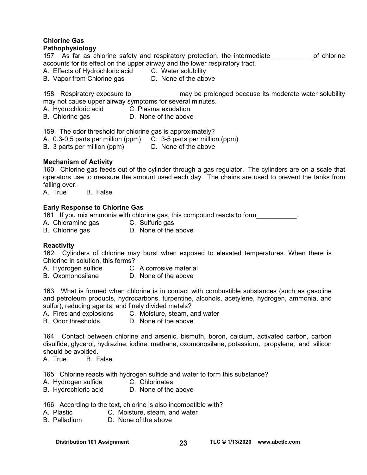#### **Chlorine Gas Pathophysiology**

#### 157. As far as chlorine safety and respiratory protection, the intermediate on the of chlorine accounts for its effect on the upper airway and the lower respiratory tract.

A. Effects of Hydrochloric acid C. Water solubility

B. Vapor from Chlorine gas D. None of the above

158. Respiratory exposure to \_\_\_\_\_\_\_\_\_\_\_\_ may be prolonged because its moderate water solubility may not cause upper airway symptoms for several minutes.

- A. Hydrochloric acid C. Plasma exudation
- B. Chlorine gas **D.** None of the above

159. The odor threshold for chlorine gas is approximately?

- A. 0.3-0.5 parts per million (ppm) C. 3-5 parts per million (ppm)
- B. 3 parts per million (ppm) D. None of the above

## **Mechanism of Activity**

160. Chlorine gas feeds out of the cylinder through a gas regulator. The cylinders are on a scale that operators use to measure the amount used each day. The chains are used to prevent the tanks from falling over.

A. True B. False

## **Early Response to Chlorine Gas**

161. If you mix ammonia with chlorine gas, this compound reacts to form\_\_\_\_\_\_\_\_\_\_\_.

- A. Chloramine gas C. Sulfuric gas
- B. Chlorine gas **D.** None of the above

## **Reactivity**

162. Cylinders of chlorine may burst when exposed to elevated temperatures. When there is Chlorine in solution, this forms?

- A. Hydrogen sulfide C. A corrosive material
- B. Oxomonosilane D. None of the above

163. What is formed when chlorine is in contact with combustible substances (such as gasoline and petroleum products, hydrocarbons, turpentine, alcohols, acetylene, hydrogen, ammonia, and sulfur), reducing agents, and finely divided metals?

A. Fires and explosions C. Moisture, steam, and water

B. Odor thresholds D. None of the above

164. Contact between chlorine and arsenic, bismuth, boron, calcium, activated carbon, carbon disulfide, glycerol, hydrazine, iodine, methane, oxomonosilane, potassium , propylene, and silicon should be avoided.

A. True B. False

165. Chlorine reacts with hydrogen sulfide and water to form this substance?

- 
- A. Hydrogen sulfide C. Chlorinates<br>B. Hydrochloric acid C. None of the above B. Hydrochloric acid

166. According to the text, chlorine is also incompatible with?

- A. Plastic C. Moisture, steam, and water
- B. Palladium D. None of the above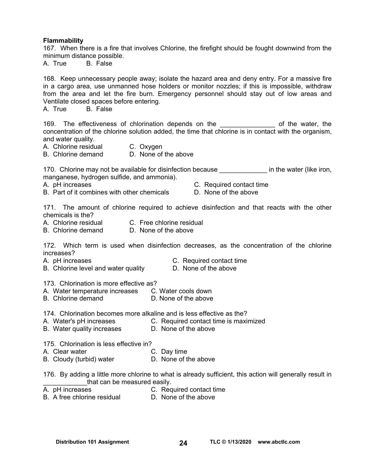#### **Flammability**

167. When there is a fire that involves Chlorine, the firefight should be fought downwind from the minimum distance possible.

A. True B. False

168. Keep unnecessary people away; isolate the hazard area and deny entry. For a massive fire in a cargo area, use unmanned hose holders or monitor nozzles; if this is impossible, withdraw from the area and let the fire burn. Emergency personnel should stay out of low areas and Ventilate closed spaces before entering.<br>A. True B. False

B. False

169. The effectiveness of chlorination depends on the example of the water, the concentration of the chlorine solution added, the time that chlorine is in contact with the organism, and water quality.

A. Chlorine residual C. Oxygen

B. Chlorine demand D. None of the above

170. Chlorine may not be available for disinfection because **the end of the water (like iron**, manganese, hydrogen sulfide, and ammonia).

- B. Part of it combines with other chemicals D. None of the above
- A. pH increases C. Required contact time
	-

171. The amount of chlorine required to achieve disinfection and that reacts with the other chemicals is the?

A. Chlorine residual C. Free chlorine residual

B. Chlorine demand D. None of the above

172. Which term is used when disinfection decreases, as the concentration of the chlorine increases?

- A. pH increases **C. Required contact time**
- B. Chlorine level and water quality **D.** None of the above
	-

173. Chlorination is more effective as?

- A. Water temperature increases C. Water cools down
- B. Chlorine demand D. None of the above

174. Chlorination becomes more alkaline and is less effective as the?

- A. Water's pH increases **C. Required contact time is maximized**
- B. Water quality increases **D. None of the above**

175. Chlorination is less effective in?

- A. Clear water **C. Day time**
- B. Cloudy (turbid) water **D.** None of the above
- 176. By adding a little more chlorine to what is already sufficient, this action will generally result in that can be measured easily.<br>A. pH increases c. Req
- 
- C. Required contact time
- B. A free chlorine residual D. None of the above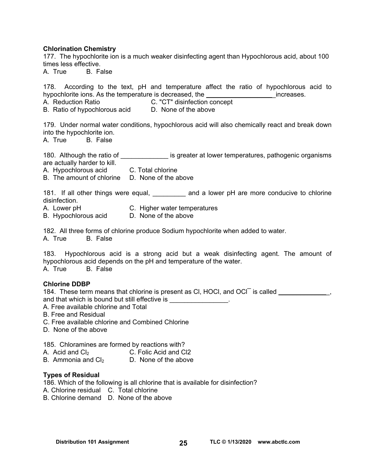#### **Chlorination Chemistry**

177. The hypochlorite ion is a much weaker disinfecting agent than Hypochlorous acid, about 100 times less effective.

A. True B. False

178. According to the text, pH and temperature affect the ratio of hypochlorous acid to hypochlorite ions. As the temperature is decreased, the the contract increases.

A. Reduction Ratio C. "CT" disinfection concept

B. Ratio of hypochlorous acid D. None of the above

179. Under normal water conditions, hypochlorous acid will also chemically react and break down into the hypochlorite ion.

A. True B. False

180. Although the ratio of **Exercise 180.** Although the ratio of  $\blacksquare$  is greater at lower temperatures, pathogenic organisms are actually harder to kill.

A. Hypochlorous acid C. Total chlorine

B. The amount of chlorine D. None of the above

181. If all other things were equal, \_\_\_\_\_\_\_\_\_ and a lower pH are more conducive to chlorine disinfection.

- A. Lower pH C. Higher water temperatures
- B. Hypochlorous acid D. None of the above

182. All three forms of chlorine produce Sodium hypochlorite when added to water. A. True B. False

183. Hypochlorous acid is a strong acid but a weak disinfecting agent. The amount of hypochlorous acid depends on the pH and temperature of the water. A. True B. False

#### **Chlorine DDBP**

184. These term means that chlorine is present as CI, HOCI, and OCI is called  $\qquad \qquad$ and that which is bound but still effective is \_\_\_\_\_\_\_\_\_\_\_\_\_.

- A. Free available chlorine and Total
- B. Free and Residual
- C. Free available chlorine and Combined Chlorine
- D. None of the above

185. Chloramines are formed by reactions with?

A. Acid and  $Cl<sub>2</sub>$  C. Folic Acid and Cl2

B. Ammonia and  $Cl<sub>2</sub>$  D. None of the above

#### **Types of Residual**

186. Which of the following is all chlorine that is available for disinfection?

- A. Chlorine residual C. Total chlorine
- B. Chlorine demand D. None of the above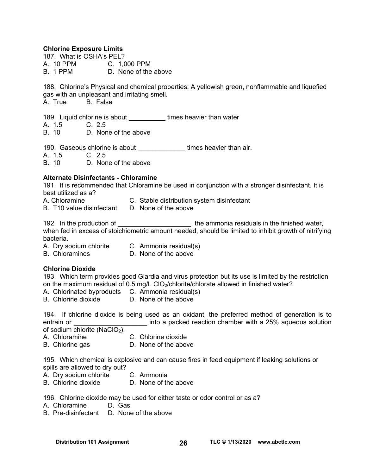#### **Chlorine Exposure Limits**

187. What is OSHA's PEL? A. 10 PPM C. 1,000 PPM B. 1 PPM D. None of the above

188. Chlorine's Physical and chemical properties: A yellowish green, nonflammable and liquefied gas with an unpleasant and irritating smell.

A. True B. False

189. Liquid chlorine is about \_\_\_\_\_\_\_\_\_\_ times heavier than water

A. 1.5 C. 2.5<br>B 10 D Non

D. None of the above

190. Gaseous chlorine is about \_\_\_\_\_\_\_\_\_\_\_\_\_\_\_times heavier than air.

A. 1.5 C. 2.5

B. 10 D. None of the above

## **Alternate Disinfectants - Chloramine**

191. It is recommended that Chloramine be used in conjunction with a stronger disinfectant. It is best utilized as a?

- A. Chloramine C. Stable distribution system disinfectant
- B. T10 value disinfectant D. None of the above

192. In the production of **Exercise 20**, the ammonia residuals in the finished water, when fed in excess of stoichiometric amount needed, should be limited to inhibit growth of nitrifying bacteria.

- A. Dry sodium chlorite C. Ammonia residual(s)
- B. Chloramines D. None of the above

# **Chlorine Dioxide**

193. Which term provides good Giardia and virus protection but its use is limited by the restriction on the maximum residual of 0.5 mg/L ClO<sub>2</sub>/chlorite/chlorate allowed in finished water?

- A. Chlorinated byproducts C. Ammonia residual(s)
- B. Chlorine dioxide D. None of the above

194. If chlorine dioxide is being used as an oxidant, the preferred method of generation is to entrain or **Exercice 20** into a packed reaction chamber with a 25% aqueous solution of sodium chlorite (NaClO<sub>2</sub>).

- A. Chloramine C. Chlorine dioxide
- B. Chlorine gas **D.** None of the above

195. Which chemical is explosive and can cause fires in feed equipment if leaking solutions or spills are allowed to dry out?

- A. Dry sodium chlorite C. Ammonia
- B. Chlorine dioxide D. None of the above

196. Chlorine dioxide may be used for either taste or odor control or as a?

- A. Chloramine D. Gas
- B. Pre-disinfectant D. None of the above